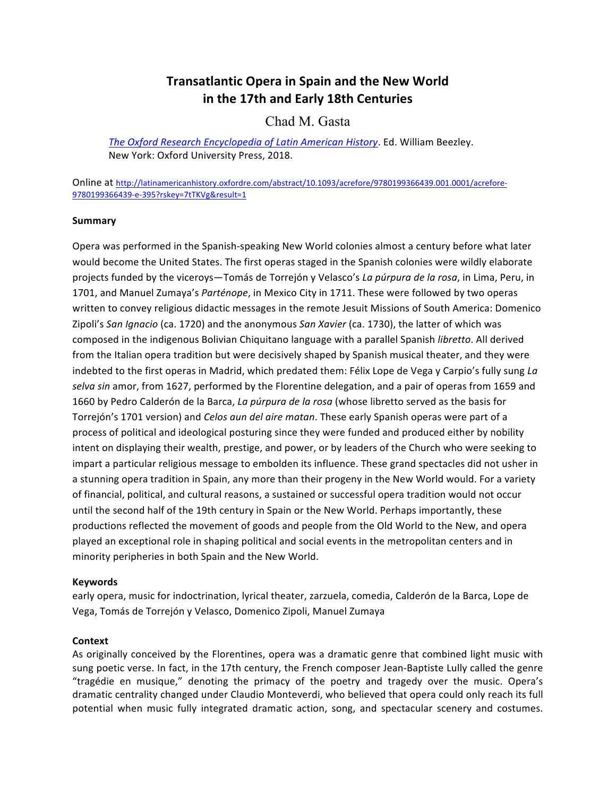# **Transatlantic Opera in Spain and the New World in the 17th and Early 18th Centuries**

## Chad M. Gasta

The Oxford Research Encyclopedia of Latin American History. Ed. William Beezley. New York: Oxford University Press, 2018.

Online at http://latinamericanhistory.oxfordre.com/abstract/10.1093/acrefore/9780199366439.001.0001/acrefore-9780199366439-e-395?rskey=7tTKVg&result=1

## **Summary**

Opera was performed in the Spanish-speaking New World colonies almost a century before what later would become the United States. The first operas staged in the Spanish colonies were wildly elaborate projects funded by the viceroys—Tomás de Torrejón y Velasco's *La púrpura de la rosa*, in Lima, Peru, in 1701, and Manuel Zumaya's Parténope, in Mexico City in 1711. These were followed by two operas written to convey religious didactic messages in the remote Jesuit Missions of South America: Domenico Zipoli's *San Ignacio* (ca. 1720) and the anonymous *San Xavier* (ca. 1730), the latter of which was composed in the indigenous Bolivian Chiquitano language with a parallel Spanish *libretto*. All derived from the Italian opera tradition but were decisively shaped by Spanish musical theater, and they were indebted to the first operas in Madrid, which predated them: Félix Lope de Vega y Carpio's fully sung *La* selva sin amor, from 1627, performed by the Florentine delegation, and a pair of operas from 1659 and 1660 by Pedro Calderón de la Barca, *La púrpura de la rosa* (whose libretto served as the basis for Torrejón's 1701 version) and *Celos aun del aire matan*. These early Spanish operas were part of a process of political and ideological posturing since they were funded and produced either by nobility intent on displaying their wealth, prestige, and power, or by leaders of the Church who were seeking to impart a particular religious message to embolden its influence. These grand spectacles did not usher in a stunning opera tradition in Spain, any more than their progeny in the New World would. For a variety of financial, political, and cultural reasons, a sustained or successful opera tradition would not occur until the second half of the 19th century in Spain or the New World. Perhaps importantly, these productions reflected the movement of goods and people from the Old World to the New, and opera played an exceptional role in shaping political and social events in the metropolitan centers and in minority peripheries in both Spain and the New World.

#### **Keywords**

early opera, music for indoctrination, lyrical theater, zarzuela, comedia, Calderón de la Barca, Lope de Vega, Tomás de Torrejón y Velasco, Domenico Zipoli, Manuel Zumaya

## **Context**

As originally conceived by the Florentines, opera was a dramatic genre that combined light music with sung poetic verse. In fact, in the 17th century, the French composer Jean-Baptiste Lully called the genre "tragédie en musique," denoting the primacy of the poetry and tragedy over the music. Opera's dramatic centrality changed under Claudio Monteverdi, who believed that opera could only reach its full potential when music fully integrated dramatic action, song, and spectacular scenery and costumes.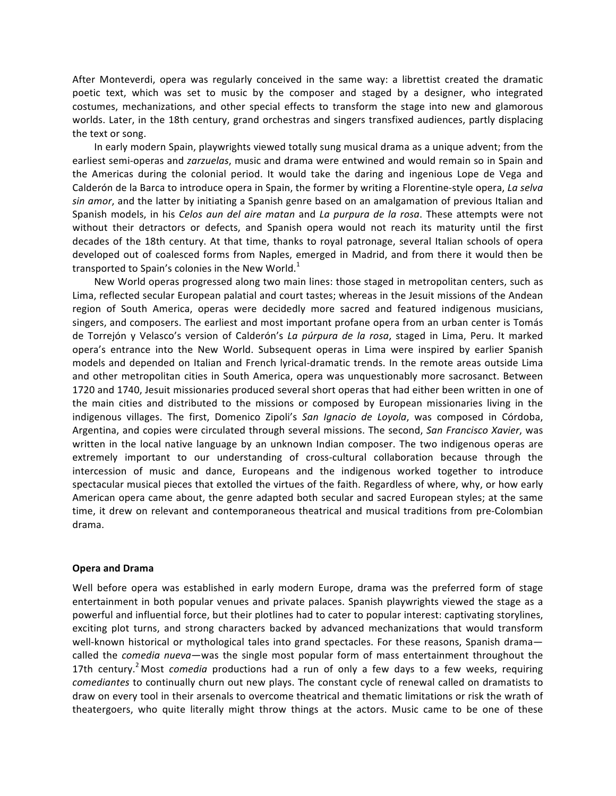After Monteverdi, opera was regularly conceived in the same way: a librettist created the dramatic poetic text, which was set to music by the composer and staged by a designer, who integrated costumes, mechanizations, and other special effects to transform the stage into new and glamorous worlds. Later, in the 18th century, grand orchestras and singers transfixed audiences, partly displacing the text or song.

In early modern Spain, playwrights viewed totally sung musical drama as a unique advent; from the earliest semi-operas and *zarzuelas*, music and drama were entwined and would remain so in Spain and the Americas during the colonial period. It would take the daring and ingenious Lope de Vega and Calderón de la Barca to introduce opera in Spain, the former by writing a Florentine-style opera, *La selva sin amor*, and the latter by initiating a Spanish genre based on an amalgamation of previous Italian and Spanish models, in his *Celos aun del aire matan* and *La purpura de la rosa*. These attempts were not without their detractors or defects, and Spanish opera would not reach its maturity until the first decades of the 18th century. At that time, thanks to royal patronage, several Italian schools of opera developed out of coalesced forms from Naples, emerged in Madrid, and from there it would then be transported to Spain's colonies in the New World.<sup>1</sup>

New World operas progressed along two main lines: those staged in metropolitan centers, such as Lima, reflected secular European palatial and court tastes; whereas in the Jesuit missions of the Andean region of South America, operas were decidedly more sacred and featured indigenous musicians, singers, and composers. The earliest and most important profane opera from an urban center is Tomás de Torrejón y Velasco's version of Calderón's La púrpura de la rosa, staged in Lima, Peru. It marked opera's entrance into the New World. Subsequent operas in Lima were inspired by earlier Spanish models and depended on Italian and French lyrical-dramatic trends. In the remote areas outside Lima and other metropolitan cities in South America, opera was unquestionably more sacrosanct. Between 1720 and 1740, Jesuit missionaries produced several short operas that had either been written in one of the main cities and distributed to the missions or composed by European missionaries living in the indigenous villages. The first, Domenico Zipoli's *San Ignacio de Loyola*, was composed in Córdoba, Argentina, and copies were circulated through several missions. The second, San Francisco Xavier, was written in the local native language by an unknown Indian composer. The two indigenous operas are extremely important to our understanding of cross-cultural collaboration because through the intercession of music and dance, Europeans and the indigenous worked together to introduce spectacular musical pieces that extolled the virtues of the faith. Regardless of where, why, or how early American opera came about, the genre adapted both secular and sacred European styles; at the same time, it drew on relevant and contemporaneous theatrical and musical traditions from pre-Colombian drama.

## **Opera and Drama**

Well before opera was established in early modern Europe, drama was the preferred form of stage entertainment in both popular venues and private palaces. Spanish playwrights viewed the stage as a powerful and influential force, but their plotlines had to cater to popular interest: captivating storylines, exciting plot turns, and strong characters backed by advanced mechanizations that would transform well-known historical or mythological tales into grand spectacles. For these reasons, Spanish dramacalled the *comedia nueva*—was the single most popular form of mass entertainment throughout the 17th century.<sup>2</sup> Most *comedia* productions had a run of only a few days to a few weeks, requiring *comediantes* to continually churn out new plays. The constant cycle of renewal called on dramatists to draw on every tool in their arsenals to overcome theatrical and thematic limitations or risk the wrath of theatergoers, who quite literally might throw things at the actors. Music came to be one of these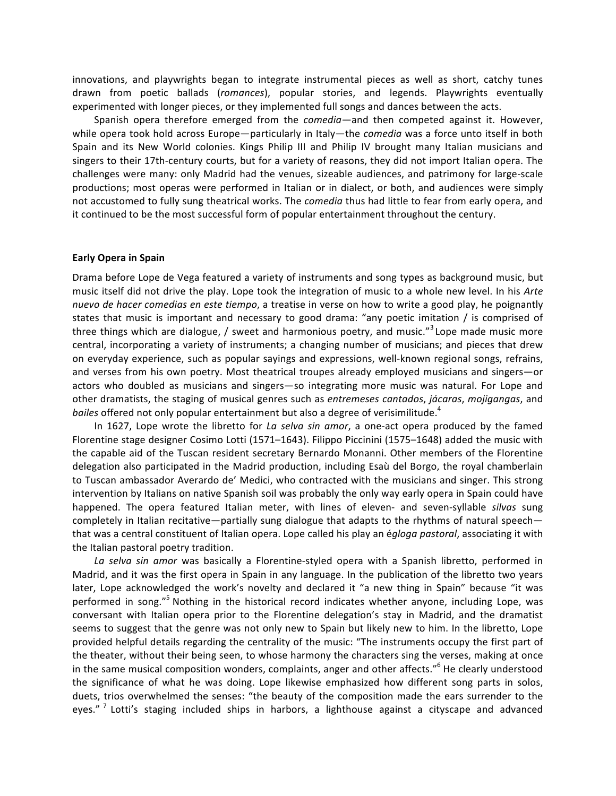innovations, and playwrights began to integrate instrumental pieces as well as short, catchy tunes drawn from poetic ballads (romances), popular stories, and legends. Playwrights eventually experimented with longer pieces, or they implemented full songs and dances between the acts.

Spanish opera therefore emerged from the *comedia*—and then competed against it. However, while opera took hold across Europe—particularly in Italy—the *comedia* was a force unto itself in both Spain and its New World colonies. Kings Philip III and Philip IV brought many Italian musicians and singers to their 17th-century courts, but for a variety of reasons, they did not import Italian opera. The challenges were many: only Madrid had the venues, sizeable audiences, and patrimony for large-scale productions; most operas were performed in Italian or in dialect, or both, and audiences were simply not accustomed to fully sung theatrical works. The *comedia* thus had little to fear from early opera, and it continued to be the most successful form of popular entertainment throughout the century.

#### **Early Opera in Spain**

Drama before Lope de Vega featured a variety of instruments and song types as background music, but music itself did not drive the play. Lope took the integration of music to a whole new level. In his *Arte nuevo de hacer comedias en este tiempo*, a treatise in verse on how to write a good play, he poignantly states that music is important and necessary to good drama: "any poetic imitation / is comprised of three things which are dialogue, / sweet and harmonious poetry, and music."<sup>3</sup> Lope made music more central, incorporating a variety of instruments; a changing number of musicians; and pieces that drew on everyday experience, such as popular sayings and expressions, well-known regional songs, refrains, and verses from his own poetry. Most theatrical troupes already employed musicians and singers—or actors who doubled as musicians and singers-so integrating more music was natural. For Lope and other dramatists, the staging of musical genres such as *entremeses cantados*, *jácaras*, *mojigangas*, and *bailes* offered not only popular entertainment but also a degree of verisimilitude.<sup>4</sup>

In 1627, Lope wrote the libretto for La selva sin amor, a one-act opera produced by the famed Florentine stage designer Cosimo Lotti (1571–1643). Filippo Piccinini (1575–1648) added the music with the capable aid of the Tuscan resident secretary Bernardo Monanni. Other members of the Florentine delegation also participated in the Madrid production, including Esaù del Borgo, the royal chamberlain to Tuscan ambassador Averardo de' Medici, who contracted with the musicians and singer. This strong intervention by Italians on native Spanish soil was probably the only way early opera in Spain could have happened. The opera featured Italian meter, with lines of eleven- and seven-syllable *silvas* sung completely in Italian recitative—partially sung dialogue that adapts to the rhythms of natural speech that was a central constituent of Italian opera. Lope called his play an *égloga pastoral*, associating it with the Italian pastoral poetry tradition.

La selva sin amor was basically a Florentine-styled opera with a Spanish libretto, performed in Madrid, and it was the first opera in Spain in any language. In the publication of the libretto two years later, Lope acknowledged the work's novelty and declared it "a new thing in Spain" because "it was performed in song."<sup>5</sup> Nothing in the historical record indicates whether anyone, including Lope, was conversant with Italian opera prior to the Florentine delegation's stay in Madrid, and the dramatist seems to suggest that the genre was not only new to Spain but likely new to him. In the libretto, Lope provided helpful details regarding the centrality of the music: "The instruments occupy the first part of the theater, without their being seen, to whose harmony the characters sing the verses, making at once in the same musical composition wonders, complaints, anger and other affects."<sup>6</sup> He clearly understood the significance of what he was doing. Lope likewise emphasized how different song parts in solos, duets, trios overwhelmed the senses: "the beauty of the composition made the ears surrender to the eyes."<sup>7</sup> Lotti's staging included ships in harbors, a lighthouse against a cityscape and advanced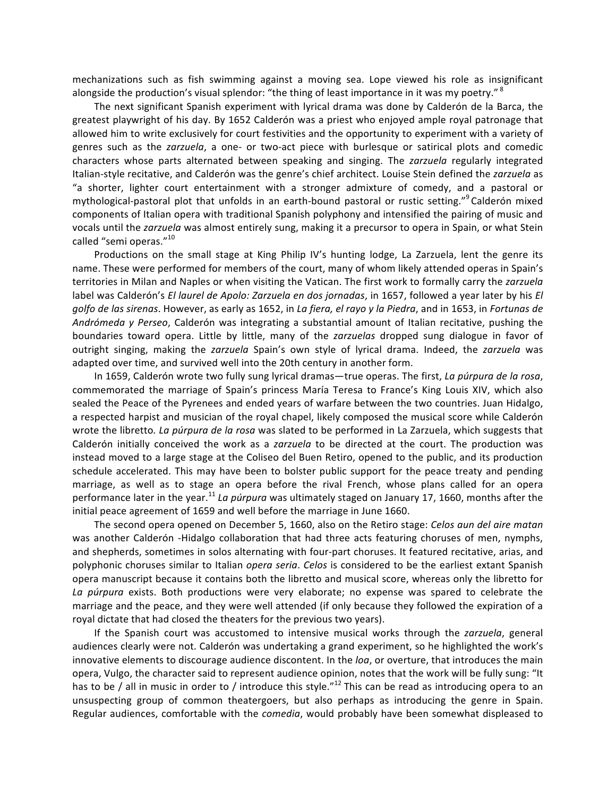mechanizations such as fish swimming against a moving sea. Lope viewed his role as insignificant alongside the production's visual splendor: "the thing of least importance in it was my poetry."  $8$ 

The next significant Spanish experiment with lyrical drama was done by Calderón de la Barca, the greatest playwright of his day. By 1652 Calderón was a priest who enjoyed ample royal patronage that allowed him to write exclusively for court festivities and the opportunity to experiment with a variety of genres such as the *zarzuela*, a one- or two-act piece with burlesque or satirical plots and comedic characters whose parts alternated between speaking and singing. The zarzuela regularly integrated Italian-style recitative, and Calderón was the genre's chief architect. Louise Stein defined the zarzuela as "a shorter, lighter court entertainment with a stronger admixture of comedy, and a pastoral or mythological-pastoral plot that unfolds in an earth-bound pastoral or rustic setting."<sup>9</sup> Calderón mixed components of Italian opera with traditional Spanish polyphony and intensified the pairing of music and vocals until the *zarzuela* was almost entirely sung, making it a precursor to opera in Spain, or what Stein called "semi operas."<sup>10</sup>

Productions on the small stage at King Philip IV's hunting lodge, La Zarzuela, lent the genre its name. These were performed for members of the court, many of whom likely attended operas in Spain's territories in Milan and Naples or when visiting the Vatican. The first work to formally carry the zarzuela label was Calderón's *El laurel de Apolo: Zarzuela en dos jornadas*, in 1657, followed a year later by his *El golfo de las sirenas*. However, as early as 1652, in La fiera, el rayo y la Piedra, and in 1653, in Fortunas de *Andrómeda y Perseo*, Calderón was integrating a substantial amount of Italian recitative, pushing the boundaries toward opera. Little by little, many of the *zarzuelas* dropped sung dialogue in favor of outright singing, making the *zarzuela* Spain's own style of lyrical drama. Indeed, the *zarzuela* was adapted over time, and survived well into the 20th century in another form.

In 1659, Calderón wrote two fully sung lyrical dramas—true operas. The first, La púrpura de la rosa, commemorated the marriage of Spain's princess María Teresa to France's King Louis XIV, which also sealed the Peace of the Pyrenees and ended years of warfare between the two countries. Juan Hidalgo, a respected harpist and musician of the royal chapel, likely composed the musical score while Calderón wrote the libretto. La púrpura de la rosa was slated to be performed in La Zarzuela, which suggests that Calderón initially conceived the work as a *zarzuela* to be directed at the court. The production was instead moved to a large stage at the Coliseo del Buen Retiro, opened to the public, and its production schedule accelerated. This may have been to bolster public support for the peace treaty and pending marriage, as well as to stage an opera before the rival French, whose plans called for an opera performance later in the year.<sup>11</sup> *La púrpura* was ultimately staged on January 17, 1660, months after the initial peace agreement of 1659 and well before the marriage in June 1660.

The second opera opened on December 5, 1660, also on the Retiro stage: *Celos aun del aire matan* was another Calderón -Hidalgo collaboration that had three acts featuring choruses of men, nymphs, and shepherds, sometimes in solos alternating with four-part choruses. It featured recitative, arias, and polyphonic choruses similar to Italian *opera seria. Celos* is considered to be the earliest extant Spanish opera manuscript because it contains both the libretto and musical score, whereas only the libretto for La púrpura exists. Both productions were very elaborate; no expense was spared to celebrate the marriage and the peace, and they were well attended (if only because they followed the expiration of a royal dictate that had closed the theaters for the previous two years).

If the Spanish court was accustomed to intensive musical works through the *zarzuela*, general audiences clearly were not. Calderón was undertaking a grand experiment, so he highlighted the work's innovative elements to discourage audience discontent. In the *loa*, or overture, that introduces the main opera, Vulgo, the character said to represent audience opinion, notes that the work will be fully sung: "It has to be / all in music in order to / introduce this style."<sup>12</sup> This can be read as introducing opera to an unsuspecting group of common theatergoers, but also perhaps as introducing the genre in Spain. Regular audiences, comfortable with the *comedia*, would probably have been somewhat displeased to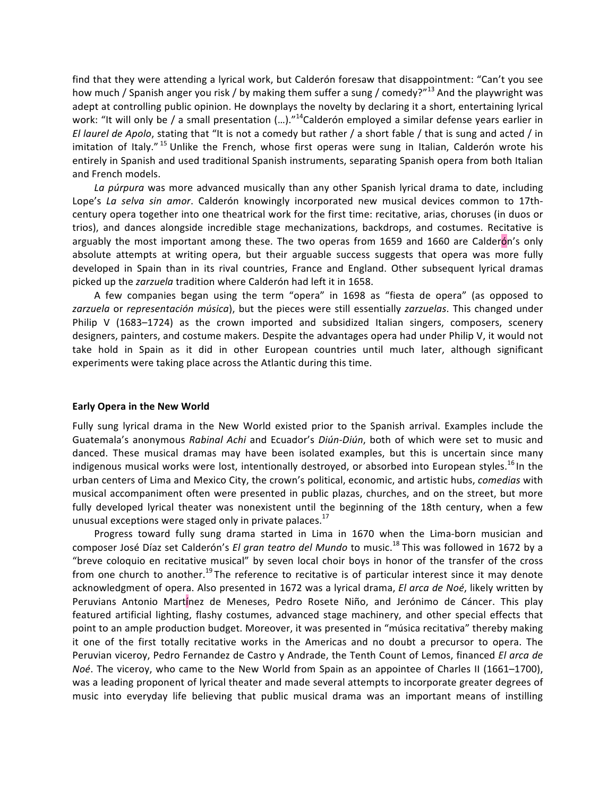find that they were attending a lyrical work, but Calderón foresaw that disappointment: "Can't you see how much / Spanish anger you risk / by making them suffer a sung / comedy?"<sup>13</sup> And the playwright was adept at controlling public opinion. He downplays the novelty by declaring it a short, entertaining lyrical work: "It will only be / a small presentation  $(...)$ ."<sup>14</sup>Calderón employed a similar defense years earlier in *El laurel de Apolo*, stating that "It is not a comedy but rather / a short fable / that is sung and acted / in imitation of Italy."<sup>15</sup> Unlike the French, whose first operas were sung in Italian, Calderón wrote his entirely in Spanish and used traditional Spanish instruments, separating Spanish opera from both Italian and French models.

La púrpura was more advanced musically than any other Spanish lyrical drama to date, including Lope's *La selva sin amor*. Calderón knowingly incorporated new musical devices common to 17thcentury opera together into one theatrical work for the first time: recitative, arias, choruses (in duos or trios), and dances alongside incredible stage mechanizations, backdrops, and costumes. Recitative is arguably the most important among these. The two operas from 1659 and 1660 are Calderón's only absolute attempts at writing opera, but their arguable success suggests that opera was more fully developed in Spain than in its rival countries, France and England. Other subsequent lyrical dramas picked up the *zarzuela* tradition where Calderón had left it in 1658.

A few companies began using the term "opera" in 1698 as "fiesta de opera" (as opposed to zarzuela or representación música), but the pieces were still essentially zarzuelas. This changed under Philip V (1683–1724) as the crown imported and subsidized Italian singers, composers, scenery designers, painters, and costume makers. Despite the advantages opera had under Philip V, it would not take hold in Spain as it did in other European countries until much later, although significant experiments were taking place across the Atlantic during this time.

#### **Early Opera in the New World**

Fully sung lyrical drama in the New World existed prior to the Spanish arrival. Examples include the Guatemala's anonymous *Rabinal Achi* and Ecuador's *Diún-Diún*, both of which were set to music and danced. These musical dramas may have been isolated examples, but this is uncertain since many indigenous musical works were lost, intentionally destroyed, or absorbed into European styles.<sup>16</sup> In the urban centers of Lima and Mexico City, the crown's political, economic, and artistic hubs, *comedias* with musical accompaniment often were presented in public plazas, churches, and on the street, but more fully developed lyrical theater was nonexistent until the beginning of the 18th century, when a few unusual exceptions were staged only in private palaces.<sup>17</sup>

Progress toward fully sung drama started in Lima in 1670 when the Lima-born musician and composer José Díaz set Calderón's *El gran teatro del Mundo* to music.<sup>18</sup> This was followed in 1672 by a "breve coloquio en recitative musical" by seven local choir boys in honor of the transfer of the cross from one church to another.<sup>19</sup> The reference to recitative is of particular interest since it may denote acknowledgment of opera. Also presented in 1672 was a lyrical drama, *El arca de Noé*, likely written by Peruvians Antonio Martínez de Meneses, Pedro Rosete Niño, and Jerónimo de Cáncer. This play featured artificial lighting, flashy costumes, advanced stage machinery, and other special effects that point to an ample production budget. Moreover, it was presented in "música recitativa" thereby making it one of the first totally recitative works in the Americas and no doubt a precursor to opera. The Peruvian viceroy, Pedro Fernandez de Castro y Andrade, the Tenth Count of Lemos, financed *El arca de Noé*. The viceroy, who came to the New World from Spain as an appointee of Charles II (1661–1700), was a leading proponent of lyrical theater and made several attempts to incorporate greater degrees of music into everyday life believing that public musical drama was an important means of instilling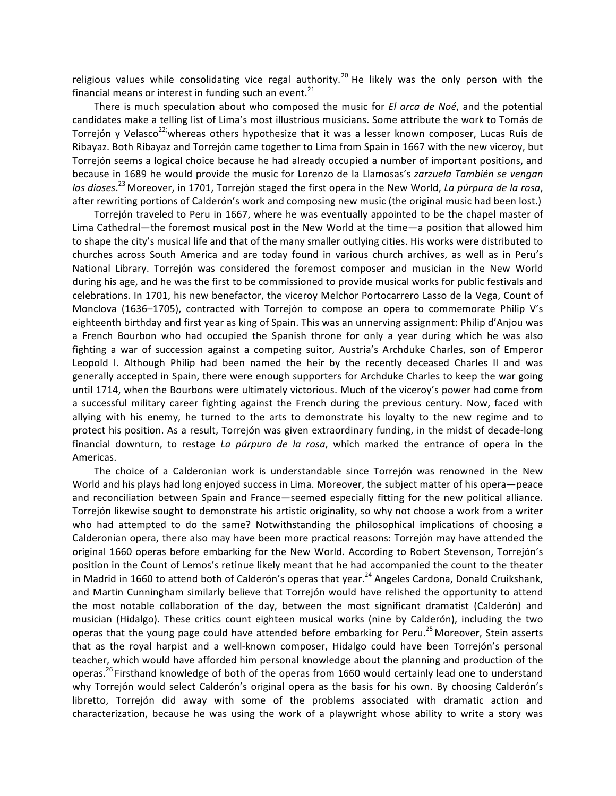religious values while consolidating vice regal authority.<sup>20</sup> He likely was the only person with the financial means or interest in funding such an event.<sup>21</sup>

There is much speculation about who composed the music for *El arca de Noé*, and the potential candidates make a telling list of Lima's most illustrious musicians. Some attribute the work to Tomás de Torrejón y Velasco $^{22}$ whereas others hypothesize that it was a lesser known composer, Lucas Ruis de Ribayaz. Both Ribayaz and Torrejón came together to Lima from Spain in 1667 with the new viceroy, but Torrejón seems a logical choice because he had already occupied a number of important positions, and because in 1689 he would provide the music for Lorenzo de la Llamosas's zarzuela También se vengan los dioses.<sup>23</sup> Moreover, in 1701, Torrejón staged the first opera in the New World, *La púrpura de la rosa*, after rewriting portions of Calderón's work and composing new music (the original music had been lost.)

Torrejón traveled to Peru in 1667, where he was eventually appointed to be the chapel master of Lima Cathedral—the foremost musical post in the New World at the time—a position that allowed him to shape the city's musical life and that of the many smaller outlying cities. His works were distributed to churches across South America and are today found in various church archives, as well as in Peru's National Library. Torrejón was considered the foremost composer and musician in the New World during his age, and he was the first to be commissioned to provide musical works for public festivals and celebrations. In 1701, his new benefactor, the viceroy Melchor Portocarrero Lasso de la Vega, Count of Monclova (1636-1705), contracted with Torrejón to compose an opera to commemorate Philip V's eighteenth birthday and first year as king of Spain. This was an unnerving assignment: Philip d'Anjou was a French Bourbon who had occupied the Spanish throne for only a year during which he was also fighting a war of succession against a competing suitor, Austria's Archduke Charles, son of Emperor Leopold I. Although Philip had been named the heir by the recently deceased Charles II and was generally accepted in Spain, there were enough supporters for Archduke Charles to keep the war going until 1714, when the Bourbons were ultimately victorious. Much of the viceroy's power had come from a successful military career fighting against the French during the previous century. Now, faced with allying with his enemy, he turned to the arts to demonstrate his loyalty to the new regime and to protect his position. As a result, Torrejón was given extraordinary funding, in the midst of decade-long financial downturn, to restage *La púrpura de la rosa*, which marked the entrance of opera in the Americas.

The choice of a Calderonian work is understandable since Torrejón was renowned in the New World and his plays had long enjoyed success in Lima. Moreover, the subject matter of his opera-peace and reconciliation between Spain and France—seemed especially fitting for the new political alliance. Torrejón likewise sought to demonstrate his artistic originality, so why not choose a work from a writer who had attempted to do the same? Notwithstanding the philosophical implications of choosing a Calderonian opera, there also may have been more practical reasons: Torrejón may have attended the original 1660 operas before embarking for the New World. According to Robert Stevenson, Torrejón's position in the Count of Lemos's retinue likely meant that he had accompanied the count to the theater in Madrid in 1660 to attend both of Calderón's operas that year.<sup>24</sup> Angeles Cardona, Donald Cruikshank, and Martin Cunningham similarly believe that Torrejón would have relished the opportunity to attend the most notable collaboration of the day, between the most significant dramatist (Calderón) and musician (Hidalgo). These critics count eighteen musical works (nine by Calderón), including the two operas that the young page could have attended before embarking for Peru.<sup>25</sup> Moreover, Stein asserts that as the royal harpist and a well-known composer, Hidalgo could have been Torrejón's personal teacher, which would have afforded him personal knowledge about the planning and production of the operas.<sup>26</sup> Firsthand knowledge of both of the operas from 1660 would certainly lead one to understand why Torrejón would select Calderón's original opera as the basis for his own. By choosing Calderón's libretto, Torrejón did away with some of the problems associated with dramatic action and characterization, because he was using the work of a playwright whose ability to write a story was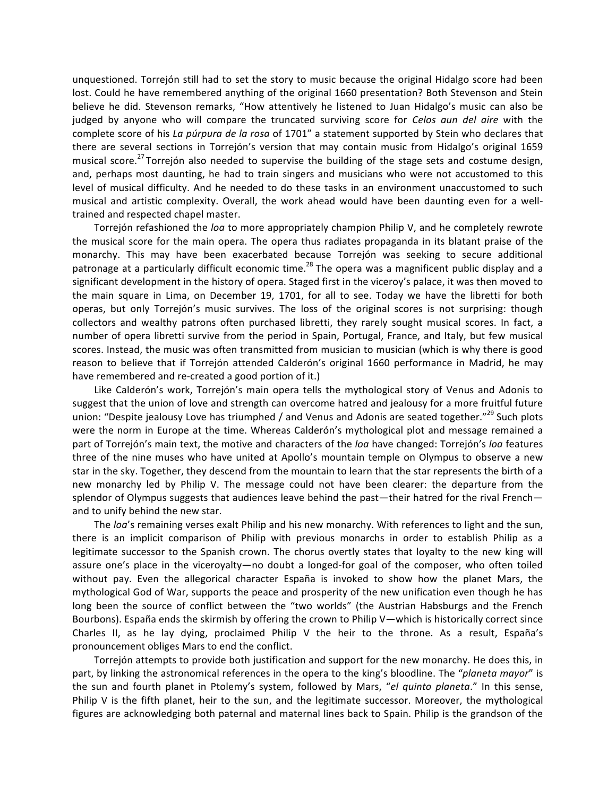unquestioned. Torrejón still had to set the story to music because the original Hidalgo score had been lost. Could he have remembered anything of the original 1660 presentation? Both Stevenson and Stein believe he did. Stevenson remarks, "How attentively he listened to Juan Hidalgo's music can also be judged by anyone who will compare the truncated surviving score for *Celos aun del aire* with the complete score of his *La púrpura de la rosa* of 1701" a statement supported by Stein who declares that there are several sections in Torrejón's version that may contain music from Hidalgo's original 1659 musical score.<sup>27</sup> Torrejón also needed to supervise the building of the stage sets and costume design, and, perhaps most daunting, he had to train singers and musicians who were not accustomed to this level of musical difficulty. And he needed to do these tasks in an environment unaccustomed to such musical and artistic complexity. Overall, the work ahead would have been daunting even for a welltrained and respected chapel master.

Torrejón refashioned the *loa* to more appropriately champion Philip V, and he completely rewrote the musical score for the main opera. The opera thus radiates propaganda in its blatant praise of the monarchy. This may have been exacerbated because Torrejón was seeking to secure additional patronage at a particularly difficult economic time.<sup>28</sup> The opera was a magnificent public display and a significant development in the history of opera. Staged first in the viceroy's palace, it was then moved to the main square in Lima, on December 19, 1701, for all to see. Today we have the libretti for both operas, but only Torrejón's music survives. The loss of the original scores is not surprising: though collectors and wealthy patrons often purchased libretti, they rarely sought musical scores. In fact, a number of opera libretti survive from the period in Spain, Portugal, France, and Italy, but few musical scores. Instead, the music was often transmitted from musician to musician (which is why there is good reason to believe that if Torrejón attended Calderón's original 1660 performance in Madrid, he may have remembered and re-created a good portion of it.)

Like Calderón's work, Torrejón's main opera tells the mythological story of Venus and Adonis to suggest that the union of love and strength can overcome hatred and jealousy for a more fruitful future union: "Despite jealousy Love has triumphed / and Venus and Adonis are seated together."<sup>29</sup> Such plots were the norm in Europe at the time. Whereas Calderón's mythological plot and message remained a part of Torrejón's main text, the motive and characters of the *loa* have changed: Torrejón's loa features three of the nine muses who have united at Apollo's mountain temple on Olympus to observe a new star in the sky. Together, they descend from the mountain to learn that the star represents the birth of a new monarchy led by Philip V. The message could not have been clearer: the departure from the splendor of Olympus suggests that audiences leave behind the past—their hatred for the rival French and to unify behind the new star.

The *loa*'s remaining verses exalt Philip and his new monarchy. With references to light and the sun, there is an implicit comparison of Philip with previous monarchs in order to establish Philip as a legitimate successor to the Spanish crown. The chorus overtly states that loyalty to the new king will assure one's place in the viceroyalty—no doubt a longed-for goal of the composer, who often toiled without pay. Even the allegorical character España is invoked to show how the planet Mars, the mythological God of War, supports the peace and prosperity of the new unification even though he has long been the source of conflict between the "two worlds" (the Austrian Habsburgs and the French Bourbons). España ends the skirmish by offering the crown to Philip V—which is historically correct since Charles II, as he lay dying, proclaimed Philip V the heir to the throne. As a result, España's pronouncement obliges Mars to end the conflict.

Torrejón attempts to provide both justification and support for the new monarchy. He does this, in part, by linking the astronomical references in the opera to the king's bloodline. The "*planeta mayor*" is the sun and fourth planet in Ptolemy's system, followed by Mars, "*el quinto planeta*." In this sense, Philip V is the fifth planet, heir to the sun, and the legitimate successor. Moreover, the mythological figures are acknowledging both paternal and maternal lines back to Spain. Philip is the grandson of the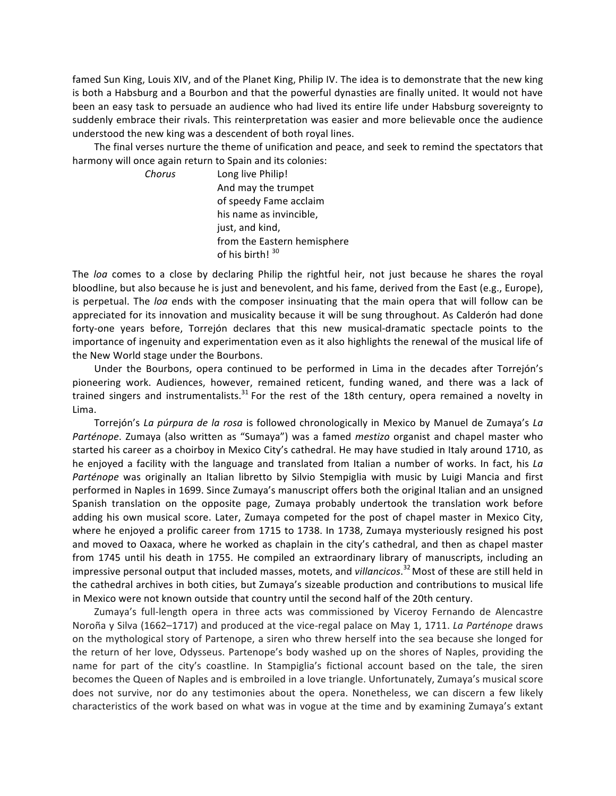famed Sun King, Louis XIV, and of the Planet King, Philip IV. The idea is to demonstrate that the new king is both a Habsburg and a Bourbon and that the powerful dynasties are finally united. It would not have been an easy task to persuade an audience who had lived its entire life under Habsburg sovereignty to suddenly embrace their rivals. This reinterpretation was easier and more believable once the audience understood the new king was a descendent of both royal lines.

The final verses nurture the theme of unification and peace, and seek to remind the spectators that harmony will once again return to Spain and its colonies:

**Chorus Long** live Philip! And may the trumpet of speedy Fame acclaim his name as invincible, just, and kind, from the Eastern hemisphere of his birth! 30

The loa comes to a close by declaring Philip the rightful heir, not just because he shares the royal bloodline, but also because he is just and benevolent, and his fame, derived from the East (e.g., Europe), is perpetual. The loa ends with the composer insinuating that the main opera that will follow can be appreciated for its innovation and musicality because it will be sung throughout. As Calderón had done forty-one years before, Torrejón declares that this new musical-dramatic spectacle points to the importance of ingenuity and experimentation even as it also highlights the renewal of the musical life of the New World stage under the Bourbons.

Under the Bourbons, opera continued to be performed in Lima in the decades after Torrejón's pioneering work. Audiences, however, remained reticent, funding waned, and there was a lack of trained singers and instrumentalists.<sup>31</sup> For the rest of the 18th century, opera remained a novelty in Lima.

Torrejón's La púrpura de la rosa is followed chronologically in Mexico by Manuel de Zumaya's La *Parténope*. Zumaya (also written as "Sumaya") was a famed *mestizo* organist and chapel master who started his career as a choirboy in Mexico City's cathedral. He may have studied in Italy around 1710, as he enjoyed a facility with the language and translated from Italian a number of works. In fact, his *La Parténope* was originally an Italian libretto by Silvio Stempiglia with music by Luigi Mancia and first performed in Naples in 1699. Since Zumaya's manuscript offers both the original Italian and an unsigned Spanish translation on the opposite page, Zumaya probably undertook the translation work before adding his own musical score. Later, Zumaya competed for the post of chapel master in Mexico City, where he enjoyed a prolific career from 1715 to 1738. In 1738, Zumaya mysteriously resigned his post and moved to Oaxaca, where he worked as chaplain in the city's cathedral, and then as chapel master from 1745 until his death in 1755. He compiled an extraordinary library of manuscripts, including an impressive personal output that included masses, motets, and *villancicos*.<sup>32</sup> Most of these are still held in the cathedral archives in both cities, but Zumaya's sizeable production and contributions to musical life in Mexico were not known outside that country until the second half of the 20th century.

Zumaya's full-length opera in three acts was commissioned by Viceroy Fernando de Alencastre Noroña y Silva (1662–1717) and produced at the vice-regal palace on May 1, 1711. La Parténope draws on the mythological story of Partenope, a siren who threw herself into the sea because she longed for the return of her love, Odysseus. Partenope's body washed up on the shores of Naples, providing the name for part of the city's coastline. In Stampiglia's fictional account based on the tale, the siren becomes the Queen of Naples and is embroiled in a love triangle. Unfortunately, Zumaya's musical score does not survive, nor do any testimonies about the opera. Nonetheless, we can discern a few likely characteristics of the work based on what was in vogue at the time and by examining Zumaya's extant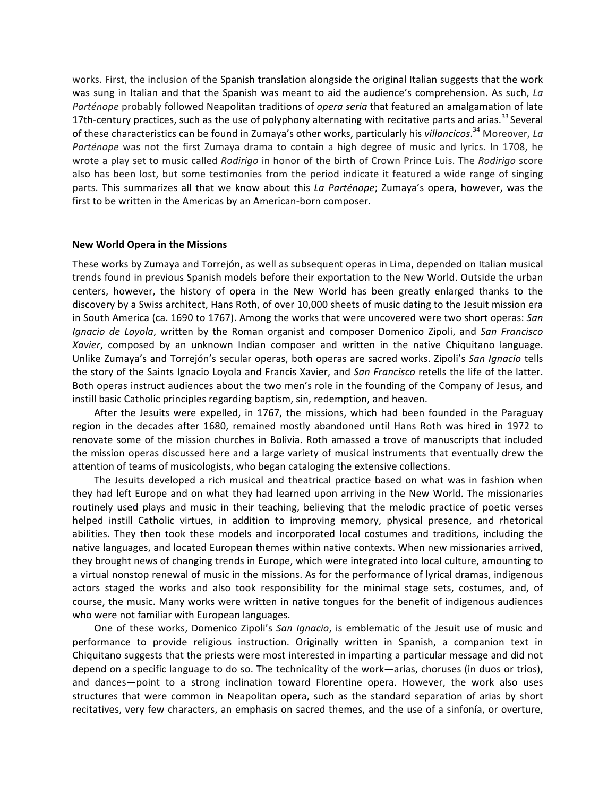works. First, the inclusion of the Spanish translation alongside the original Italian suggests that the work was sung in Italian and that the Spanish was meant to aid the audience's comprehension. As such, *La Parténope* probably followed Neapolitan traditions of *opera seria* that featured an amalgamation of late 17th-century practices, such as the use of polyphony alternating with recitative parts and arias.<sup>33</sup> Several of these characteristics can be found in Zumaya's other works, particularly his *villancicos*.<sup>34</sup> Moreover, *La Parténope* was not the first Zumaya drama to contain a high degree of music and lyrics. In 1708, he wrote a play set to music called *Rodirigo* in honor of the birth of Crown Prince Luis. The *Rodirigo* score also has been lost, but some testimonies from the period indicate it featured a wide range of singing parts. This summarizes all that we know about this *La Parténope*; Zumaya's opera, however, was the first to be written in the Americas by an American-born composer.

#### **New World Opera in the Missions**

These works by Zumaya and Torrejón, as well as subsequent operas in Lima, depended on Italian musical trends found in previous Spanish models before their exportation to the New World. Outside the urban centers, however, the history of opera in the New World has been greatly enlarged thanks to the discovery by a Swiss architect, Hans Roth, of over 10,000 sheets of music dating to the Jesuit mission era in South America (ca. 1690 to 1767). Among the works that were uncovered were two short operas: *San Ignacio de Loyola*, written by the Roman organist and composer Domenico Zipoli, and *San Francisco Xavier*, composed by an unknown Indian composer and written in the native Chiquitano language. Unlike Zumaya's and Torrejón's secular operas, both operas are sacred works. Zipoli's *San Ignacio* tells the story of the Saints Ignacio Loyola and Francis Xavier, and *San Francisco* retells the life of the latter. Both operas instruct audiences about the two men's role in the founding of the Company of Jesus, and instill basic Catholic principles regarding baptism, sin, redemption, and heaven.

After the Jesuits were expelled, in 1767, the missions, which had been founded in the Paraguay region in the decades after 1680, remained mostly abandoned until Hans Roth was hired in 1972 to renovate some of the mission churches in Bolivia. Roth amassed a trove of manuscripts that included the mission operas discussed here and a large variety of musical instruments that eventually drew the attention of teams of musicologists, who began cataloging the extensive collections.

The Jesuits developed a rich musical and theatrical practice based on what was in fashion when they had left Europe and on what they had learned upon arriving in the New World. The missionaries routinely used plays and music in their teaching, believing that the melodic practice of poetic verses helped instill Catholic virtues, in addition to improving memory, physical presence, and rhetorical abilities. They then took these models and incorporated local costumes and traditions, including the native languages, and located European themes within native contexts. When new missionaries arrived, they brought news of changing trends in Europe, which were integrated into local culture, amounting to a virtual nonstop renewal of music in the missions. As for the performance of lyrical dramas, indigenous actors staged the works and also took responsibility for the minimal stage sets, costumes, and, of course, the music. Many works were written in native tongues for the benefit of indigenous audiences who were not familiar with European languages.

One of these works, Domenico Zipoli's *San Ignacio*, is emblematic of the Jesuit use of music and performance to provide religious instruction. Originally written in Spanish, a companion text in Chiquitano suggests that the priests were most interested in imparting a particular message and did not depend on a specific language to do so. The technicality of the work—arias, choruses (in duos or trios), and dances—point to a strong inclination toward Florentine opera. However, the work also uses structures that were common in Neapolitan opera, such as the standard separation of arias by short recitatives, very few characters, an emphasis on sacred themes, and the use of a sinfonía, or overture,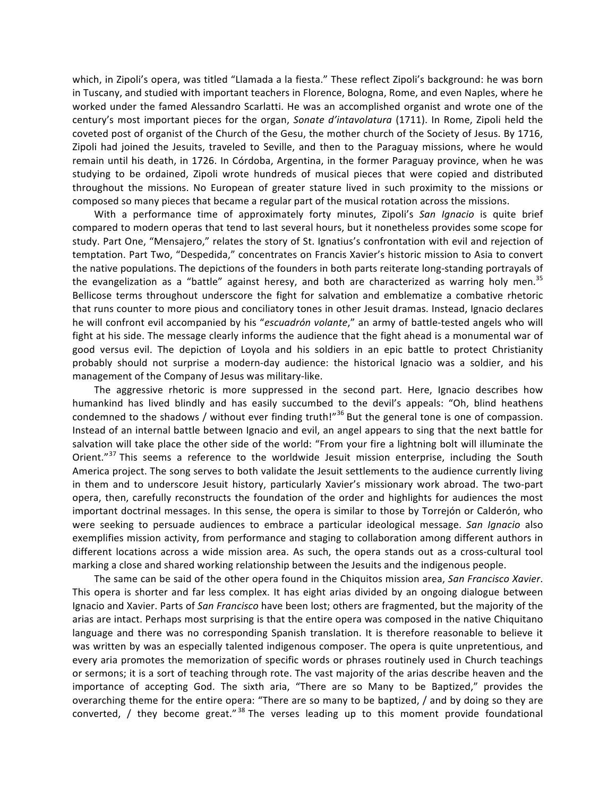which, in Zipoli's opera, was titled "Llamada a la fiesta." These reflect Zipoli's background: he was born in Tuscany, and studied with important teachers in Florence, Bologna, Rome, and even Naples, where he worked under the famed Alessandro Scarlatti. He was an accomplished organist and wrote one of the century's most important pieces for the organ, *Sonate d'intavolatura* (1711). In Rome, Zipoli held the coveted post of organist of the Church of the Gesu, the mother church of the Society of Jesus. By 1716, Zipoli had joined the Jesuits, traveled to Seville, and then to the Paraguay missions, where he would remain until his death, in 1726. In Córdoba, Argentina, in the former Paraguay province, when he was studying to be ordained, Zipoli wrote hundreds of musical pieces that were copied and distributed throughout the missions. No European of greater stature lived in such proximity to the missions or composed so many pieces that became a regular part of the musical rotation across the missions.

With a performance time of approximately forty minutes, Zipoli's *San Ignacio* is quite brief compared to modern operas that tend to last several hours, but it nonetheless provides some scope for study. Part One, "Mensajero," relates the story of St. Ignatius's confrontation with evil and rejection of temptation. Part Two, "Despedida," concentrates on Francis Xavier's historic mission to Asia to convert the native populations. The depictions of the founders in both parts reiterate long-standing portrayals of the evangelization as a "battle" against heresy, and both are characterized as warring holy men.<sup>35</sup> Bellicose terms throughout underscore the fight for salvation and emblematize a combative rhetoric that runs counter to more pious and conciliatory tones in other Jesuit dramas. Instead, Ignacio declares he will confront evil accompanied by his "escuadrón volante," an army of battle-tested angels who will fight at his side. The message clearly informs the audience that the fight ahead is a monumental war of good versus evil. The depiction of Loyola and his soldiers in an epic battle to protect Christianity probably should not surprise a modern-day audience: the historical Ignacio was a soldier, and his management of the Company of Jesus was military-like.

The aggressive rhetoric is more suppressed in the second part. Here, Ignacio describes how humankind has lived blindly and has easily succumbed to the devil's appeals: "Oh, blind heathens condemned to the shadows / without ever finding truth!"<sup>36</sup> But the general tone is one of compassion. Instead of an internal battle between Ignacio and evil, an angel appears to sing that the next battle for salvation will take place the other side of the world: "From your fire a lightning bolt will illuminate the Orient."<sup>37</sup> This seems a reference to the worldwide Jesuit mission enterprise, including the South America project. The song serves to both validate the Jesuit settlements to the audience currently living in them and to underscore Jesuit history, particularly Xavier's missionary work abroad. The two-part opera, then, carefully reconstructs the foundation of the order and highlights for audiences the most important doctrinal messages. In this sense, the opera is similar to those by Torrejón or Calderón, who were seeking to persuade audiences to embrace a particular ideological message. San Ignacio also exemplifies mission activity, from performance and staging to collaboration among different authors in different locations across a wide mission area. As such, the opera stands out as a cross-cultural tool marking a close and shared working relationship between the Jesuits and the indigenous people.

The same can be said of the other opera found in the Chiquitos mission area, *San Francisco Xavier*. This opera is shorter and far less complex. It has eight arias divided by an ongoing dialogue between Ignacio and Xavier. Parts of *San Francisco* have been lost; others are fragmented, but the majority of the arias are intact. Perhaps most surprising is that the entire opera was composed in the native Chiquitano language and there was no corresponding Spanish translation. It is therefore reasonable to believe it was written by was an especially talented indigenous composer. The opera is quite unpretentious, and every aria promotes the memorization of specific words or phrases routinely used in Church teachings or sermons; it is a sort of teaching through rote. The vast majority of the arias describe heaven and the importance of accepting God. The sixth aria, "There are so Many to be Baptized," provides the overarching theme for the entire opera: "There are so many to be baptized, / and by doing so they are converted,  $\ell$  they become great."<sup>38</sup> The verses leading up to this moment provide foundational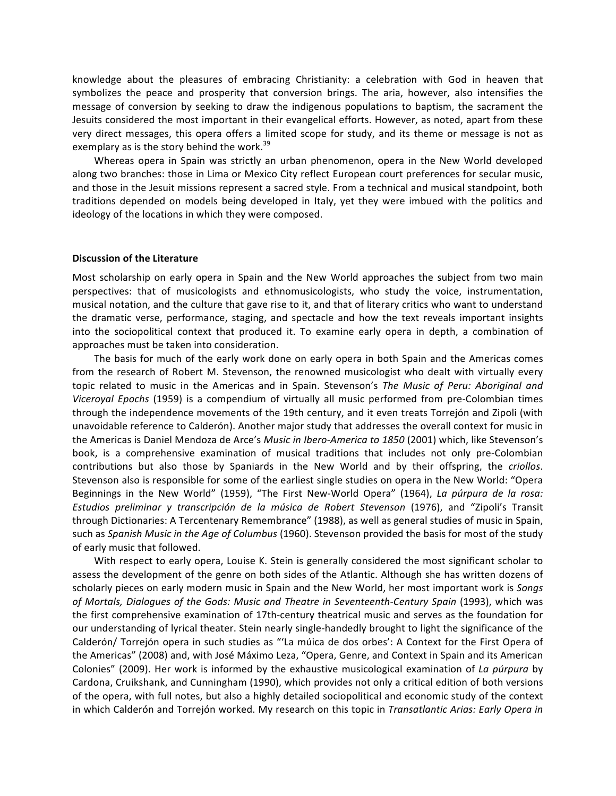knowledge about the pleasures of embracing Christianity: a celebration with God in heaven that symbolizes the peace and prosperity that conversion brings. The aria, however, also intensifies the message of conversion by seeking to draw the indigenous populations to baptism, the sacrament the Jesuits considered the most important in their evangelical efforts. However, as noted, apart from these very direct messages, this opera offers a limited scope for study, and its theme or message is not as exemplary as is the story behind the work.<sup>39</sup>

Whereas opera in Spain was strictly an urban phenomenon, opera in the New World developed along two branches: those in Lima or Mexico City reflect European court preferences for secular music, and those in the Jesuit missions represent a sacred style. From a technical and musical standpoint, both traditions depended on models being developed in Italy, yet they were imbued with the politics and ideology of the locations in which they were composed.

#### **Discussion of the Literature**

Most scholarship on early opera in Spain and the New World approaches the subject from two main perspectives: that of musicologists and ethnomusicologists, who study the voice, instrumentation, musical notation, and the culture that gave rise to it, and that of literary critics who want to understand the dramatic verse, performance, staging, and spectacle and how the text reveals important insights into the sociopolitical context that produced it. To examine early opera in depth, a combination of approaches must be taken into consideration.

The basis for much of the early work done on early opera in both Spain and the Americas comes from the research of Robert M. Stevenson, the renowned musicologist who dealt with virtually every topic related to music in the Americas and in Spain. Stevenson's *The Music of Peru: Aboriginal and Viceroyal Epochs* (1959) is a compendium of virtually all music performed from pre-Colombian times through the independence movements of the 19th century, and it even treats Torrejón and Zipoli (with unavoidable reference to Calderón). Another major study that addresses the overall context for music in the Americas is Daniel Mendoza de Arce's *Music in Ibero-America to 1850* (2001) which, like Stevenson's book, is a comprehensive examination of musical traditions that includes not only pre-Colombian contributions but also those by Spaniards in the New World and by their offspring, the *criollos*. Stevenson also is responsible for some of the earliest single studies on opera in the New World: "Opera Beginnings in the New World" (1959), "The First New-World Opera" (1964), La púrpura de la rosa: *Estudios preliminar y transcripción de la música de Robert Stevenson* (1976), and "Zipoli's Transit through Dictionaries: A Tercentenary Remembrance" (1988), as well as general studies of music in Spain, such as *Spanish Music in the Age of Columbus* (1960). Stevenson provided the basis for most of the study of early music that followed.

With respect to early opera, Louise K. Stein is generally considered the most significant scholar to assess the development of the genre on both sides of the Atlantic. Although she has written dozens of scholarly pieces on early modern music in Spain and the New World, her most important work is *Songs* of Mortals, Dialogues of the Gods: Music and Theatre in Seventeenth-Century Spain (1993), which was the first comprehensive examination of 17th-century theatrical music and serves as the foundation for our understanding of lyrical theater. Stein nearly single-handedly brought to light the significance of the Calderón/ Torrejón opera in such studies as "'La múica de dos orbes': A Context for the First Opera of the Americas" (2008) and, with José Máximo Leza, "Opera, Genre, and Context in Spain and its American Colonies" (2009). Her work is informed by the exhaustive musicological examination of *La púrpura* by Cardona, Cruikshank, and Cunningham (1990), which provides not only a critical edition of both versions of the opera, with full notes, but also a highly detailed sociopolitical and economic study of the context in which Calderón and Torrejón worked. My research on this topic in *Transatlantic Arias: Early Opera in*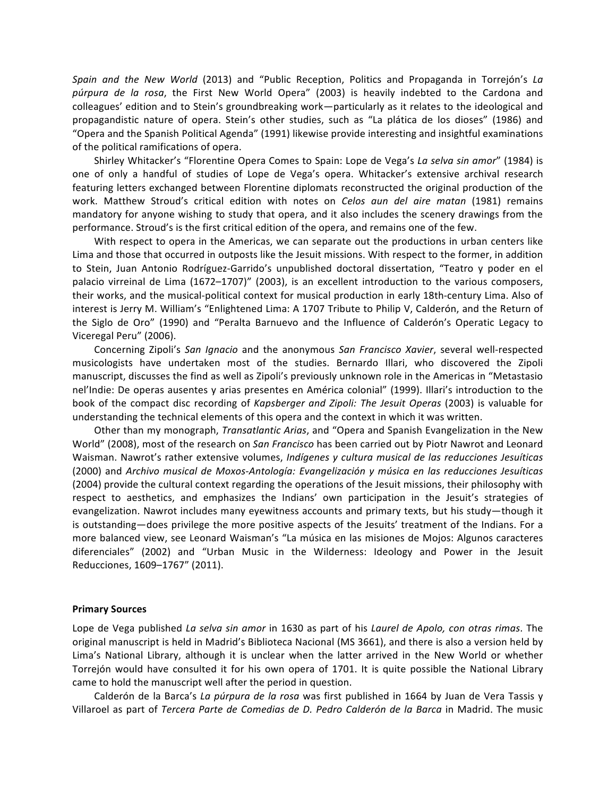*Spain* and the New World (2013) and "Public Reception, Politics and Propaganda in Torrejón's La púrpura de la rosa, the First New World Opera" (2003) is heavily indebted to the Cardona and colleagues' edition and to Stein's groundbreaking work—particularly as it relates to the ideological and propagandistic nature of opera. Stein's other studies, such as "La plática de los dioses" (1986) and "Opera and the Spanish Political Agenda" (1991) likewise provide interesting and insightful examinations of the political ramifications of opera.

Shirley Whitacker's "Florentine Opera Comes to Spain: Lope de Vega's La selva sin amor" (1984) is one of only a handful of studies of Lope de Vega's opera. Whitacker's extensive archival research featuring letters exchanged between Florentine diplomats reconstructed the original production of the work. Matthew Stroud's critical edition with notes on *Celos aun del aire matan* (1981) remains mandatory for anyone wishing to study that opera, and it also includes the scenery drawings from the performance. Stroud's is the first critical edition of the opera, and remains one of the few.

With respect to opera in the Americas, we can separate out the productions in urban centers like Lima and those that occurred in outposts like the Jesuit missions. With respect to the former, in addition to Stein, Juan Antonio Rodríguez-Garrido's unpublished doctoral dissertation, "Teatro y poder en el palacio virreinal de Lima (1672–1707)" (2003), is an excellent introduction to the various composers, their works, and the musical-political context for musical production in early 18th-century Lima. Also of interest is Jerry M. William's "Enlightened Lima: A 1707 Tribute to Philip V, Calderón, and the Return of the Siglo de Oro" (1990) and "Peralta Barnuevo and the Influence of Calderón's Operatic Legacy to Viceregal Peru" (2006).

Concerning Zipoli's *San Ignacio* and the anonymous *San Francisco Xavier*, several well-respected musicologists have undertaken most of the studies. Bernardo Illari, who discovered the Zipoli manuscript, discusses the find as well as Zipoli's previously unknown role in the Americas in "Metastasio nel'Indie: De operas ausentes y arias presentes en América colonial" (1999). Illari's introduction to the book of the compact disc recording of *Kapsberger and Zipoli: The Jesuit Operas* (2003) is valuable for understanding the technical elements of this opera and the context in which it was written.

Other than my monograph, *Transatlantic Arias*, and "Opera and Spanish Evangelization in the New World" (2008), most of the research on *San Francisco* has been carried out by Piotr Nawrot and Leonard Waisman. Nawrot's rather extensive volumes, *Indígenes y cultura musical de las reducciones Jesuíticas* (2000) and *Archivo musical de Moxos-Antología: Evangelización y música en las reducciones Jesuíticas* (2004) provide the cultural context regarding the operations of the Jesuit missions, their philosophy with respect to aesthetics, and emphasizes the Indians' own participation in the Jesuit's strategies of evangelization. Nawrot includes many eyewitness accounts and primary texts, but his study—though it is outstanding—does privilege the more positive aspects of the Jesuits' treatment of the Indians. For a more balanced view, see Leonard Waisman's "La música en las misiones de Mojos: Algunos caracteres diferenciales" (2002) and "Urban Music in the Wilderness: Ideology and Power in the Jesuit Reducciones, 1609–1767" (2011).

#### **Primary Sources**

Lope de Vega published *La selva sin amor* in 1630 as part of his *Laurel de Apolo, con otras rimas*. The original manuscript is held in Madrid's Biblioteca Nacional (MS 3661), and there is also a version held by Lima's National Library, although it is unclear when the latter arrived in the New World or whether Torrejón would have consulted it for his own opera of 1701. It is quite possible the National Library came to hold the manuscript well after the period in question.

Calderón de la Barca's *La púrpura de la rosa* was first published in 1664 by Juan de Vera Tassis y Villaroel as part of *Tercera Parte de Comedias de D. Pedro Calderón de la Barca* in Madrid. The music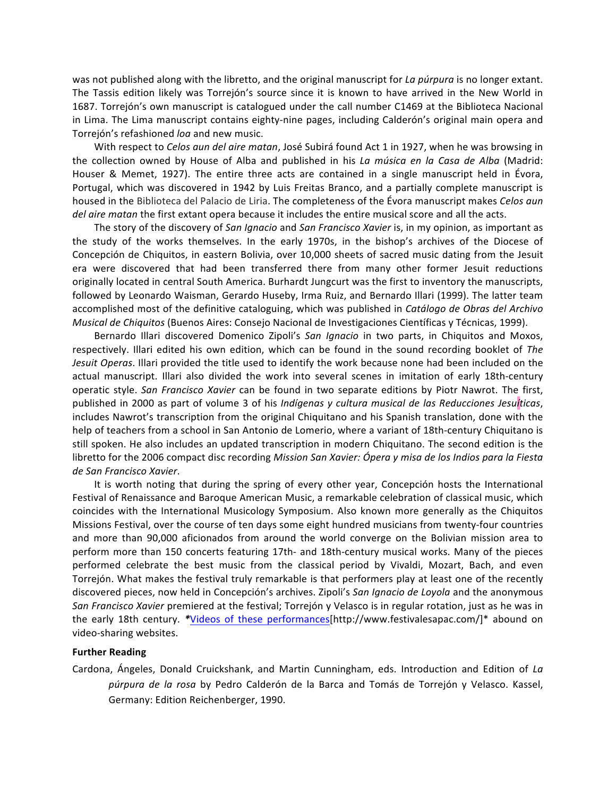was not published along with the libretto, and the original manuscript for *La purpura* is no longer extant. The Tassis edition likely was Torrejón's source since it is known to have arrived in the New World in 1687. Torrejón's own manuscript is catalogued under the call number C1469 at the Biblioteca Nacional in Lima. The Lima manuscript contains eighty-nine pages, including Calderón's original main opera and Torrejón's refashioned loa and new music.

With respect to *Celos aun del aire matan*, José Subirá found Act 1 in 1927, when he was browsing in the collection owned by House of Alba and published in his *La música en la Casa de Alba* (Madrid: Houser & Memet, 1927). The entire three acts are contained in a single manuscript held in Évora, Portugal, which was discovered in 1942 by Luis Freitas Branco, and a partially complete manuscript is housed in the Biblioteca del Palacio de Liria. The completeness of the Évora manuscript makes *Celos qun del aire matan* the first extant opera because it includes the entire musical score and all the acts.

The story of the discovery of *San Ignacio* and *San Francisco Xavier* is, in my opinion, as important as the study of the works themselves. In the early 1970s, in the bishop's archives of the Diocese of Concepción de Chiquitos, in eastern Bolivia, over 10,000 sheets of sacred music dating from the Jesuit era were discovered that had been transferred there from many other former Jesuit reductions originally located in central South America. Burhardt Jungcurt was the first to inventory the manuscripts, followed by Leonardo Waisman, Gerardo Huseby, Irma Ruiz, and Bernardo Illari (1999). The latter team accomplished most of the definitive cataloguing, which was published in *Catálogo de Obras del Archivo Musical de Chiquitos* (Buenos Aires: Consejo Nacional de Investigaciones Científicas y Técnicas, 1999).

Bernardo Illari discovered Domenico Zipoli's San Ignacio in two parts, in Chiquitos and Moxos, respectively. Illari edited his own edition, which can be found in the sound recording booklet of The Jesuit Operas. Illari provided the title used to identify the work because none had been included on the actual manuscript. Illari also divided the work into several scenes in imitation of early 18th-century operatic style. *San Francisco Xavier* can be found in two separate editions by Piotr Nawrot. The first, published in 2000 as part of volume 3 of his *Indígenas y cultura musical de las Reducciones Jesuíticas*, includes Nawrot's transcription from the original Chiquitano and his Spanish translation, done with the help of teachers from a school in San Antonio de Lomerio, where a variant of 18th-century Chiquitano is still spoken. He also includes an updated transcription in modern Chiquitano. The second edition is the libretto for the 2006 compact disc recording *Mission San Xavier: Ópera y misa de los Indios para la Fiesta de San Francisco Xavier*.

It is worth noting that during the spring of every other year, Concepción hosts the International Festival of Renaissance and Baroque American Music, a remarkable celebration of classical music, which coincides with the International Musicology Symposium. Also known more generally as the Chiquitos Missions Festival, over the course of ten days some eight hundred musicians from twenty-four countries and more than 90,000 aficionados from around the world converge on the Bolivian mission area to perform more than 150 concerts featuring 17th- and 18th-century musical works. Many of the pieces performed celebrate the best music from the classical period by Vivaldi, Mozart, Bach, and even Torrejón. What makes the festival truly remarkable is that performers play at least one of the recently discovered pieces, now held in Concepción's archives. Zipoli's *San Ignacio de Loyola* and the anonymous *San Francisco Xavier* premiered at the festival; Torrejón y Velasco is in regular rotation, just as he was in the early 18th century. \*Videos of these performances[http://www.festivalesapac.com/]\* abound on video-sharing websites.

## **Further Reading**

Cardona, Ángeles, Donald Cruickshank, and Martin Cunningham, eds. Introduction and Edition of *La* púrpura de la rosa by Pedro Calderón de la Barca and Tomás de Torrejón y Velasco. Kassel, Germany: Edition Reichenberger, 1990.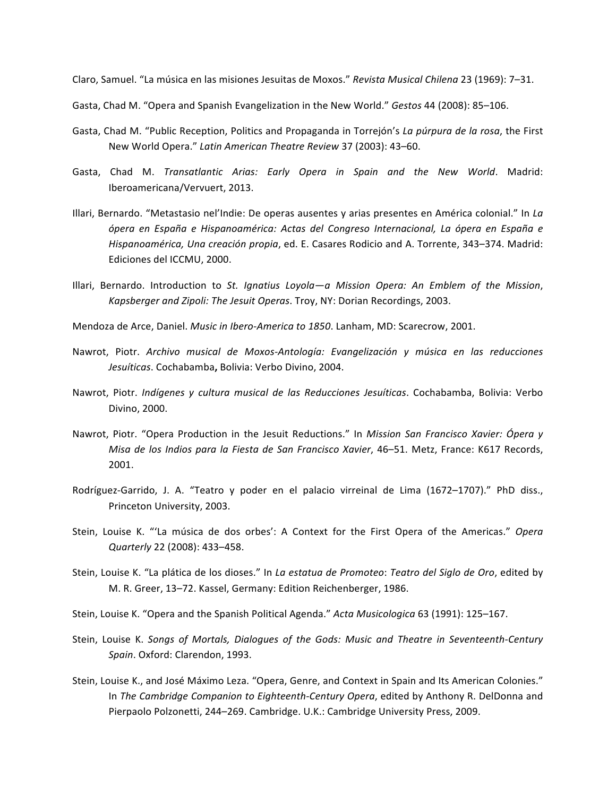Claro, Samuel. "La música en las misiones Jesuitas de Moxos." *Revista Musical Chilena* 23 (1969): 7-31.

Gasta, Chad M. "Opera and Spanish Evangelization in the New World." *Gestos* 44 (2008): 85-106.

- Gasta, Chad M. "Public Reception, Politics and Propaganda in Torrejón's La púrpura de la rosa, the First New World Opera." Latin American Theatre Review 37 (2003): 43-60.
- Gasta, Chad M. *Transatlantic Arias: Early Opera in Spain and the New World*. Madrid: Iberoamericana/Vervuert, 2013.
- Illari, Bernardo. "Metastasio nel'Indie: De operas ausentes y arias presentes en América colonial." In *La ópera en España e Hispanoamérica: Actas del Congreso Internacional, La ópera en España e*  Hispanoamérica, Una creación propia, ed. E. Casares Rodicio and A. Torrente, 343–374. Madrid: Ediciones del ICCMU, 2000.
- Illari, Bernardo. Introduction to St. Ignatius Loyola—a Mission Opera: An Emblem of the Mission, *Kapsberger and Zipoli: The Jesuit Operas*. Troy, NY: Dorian Recordings, 2003.
- Mendoza de Arce, Daniel. *Music in Ibero-America to 1850*. Lanham, MD: Scarecrow, 2001.
- Nawrot, Piotr. *Archivo musical de Moxos-Antología: Evangelización y música en las reducciones* Jesuíticas. Cochabamba, Bolivia: Verbo Divino, 2004.
- Nawrot, Piotr. *Indígenes y cultura musical de las Reducciones Jesuíticas*. Cochabamba, Bolivia: Verbo Divino, 2000.
- Nawrot, Piotr. "Opera Production in the Jesuit Reductions." In *Mission San Francisco Xavier: Ópera y Misa de los Indios para la Fiesta de San Francisco Xavier*, 46–51. Metz, France: K617 Records, 2001.
- Rodríguez-Garrido, J. A. "Teatro y poder en el palacio virreinal de Lima (1672–1707)." PhD diss., Princeton University, 2003.
- Stein, Louise K. "'La música de dos orbes': A Context for the First Opera of the Americas." Opera *Quarterly* 22 (2008): 433–458.
- Stein, Louise K. "La plática de los dioses." In *La estatua de Promoteo: Teatro del Siglo de Oro*, edited by M. R. Greer, 13-72. Kassel, Germany: Edition Reichenberger, 1986.
- Stein, Louise K. "Opera and the Spanish Political Agenda." *Acta Musicologica* 63 (1991): 125-167.
- Stein, Louise K. Songs of Mortals, Dialogues of the Gods: Music and Theatre in Seventeenth-Century *Spain.* Oxford: Clarendon, 1993.
- Stein, Louise K., and José Máximo Leza. "Opera, Genre, and Context in Spain and Its American Colonies." In The Cambridge Companion to Eighteenth-Century Opera, edited by Anthony R. DelDonna and Pierpaolo Polzonetti, 244–269. Cambridge. U.K.: Cambridge University Press, 2009.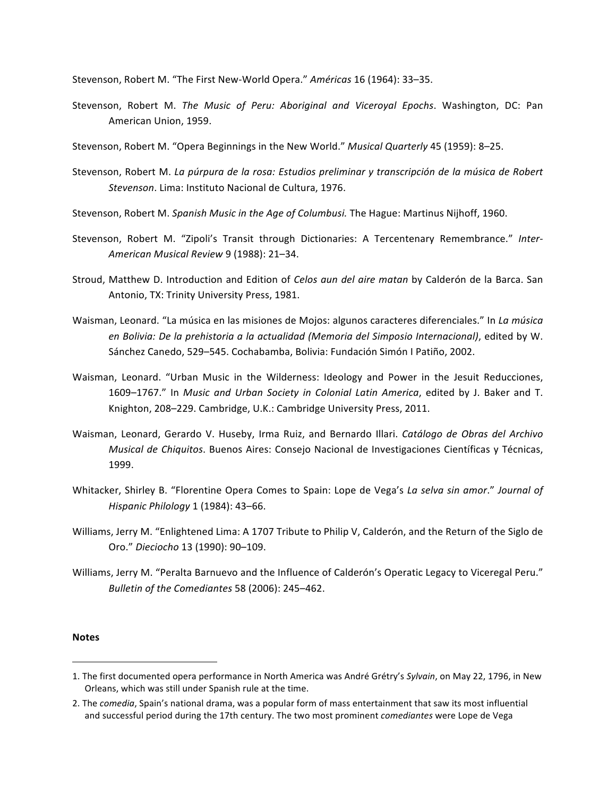Stevenson, Robert M. "The First New-World Opera." *Américas* 16 (1964): 33–35.

- Stevenson, Robert M. The Music of Peru: Aboriginal and Viceroyal Epochs. Washington, DC: Pan American Union, 1959.
- Stevenson, Robert M. "Opera Beginnings in the New World." *Musical Quarterly* 45 (1959): 8-25.
- Stevenson, Robert M. *La púrpura de la rosa: Estudios preliminar y transcripción de la música de Robert* Stevenson. Lima: Instituto Nacional de Cultura, 1976.

Stevenson, Robert M. *Spanish Music in the Age of Columbusi*. The Hague: Martinus Nijhoff, 1960.

- Stevenson, Robert M. "Zipoli's Transit through Dictionaries: A Tercentenary Remembrance." Inter-*American Musical Review* 9 (1988): 21–34.
- Stroud, Matthew D. Introduction and Edition of *Celos aun del aire matan* by Calderón de la Barca. San Antonio, TX: Trinity University Press, 1981.
- Waisman, Leonard. "La música en las misiones de Mojos: algunos caracteres diferenciales." In *La música* en Bolivia: De la prehistoria a la actualidad (Memoria del Simposio Internacional), edited by W. Sánchez Canedo, 529–545. Cochabamba, Bolivia: Fundación Simón I Patiño, 2002.
- Waisman, Leonard. "Urban Music in the Wilderness: Ideology and Power in the Jesuit Reducciones, 1609-1767." In *Music and Urban Society in Colonial Latin America*, edited by J. Baker and T. Knighton, 208-229. Cambridge, U.K.: Cambridge University Press, 2011.
- Waisman, Leonard, Gerardo V. Huseby, Irma Ruiz, and Bernardo Illari. *Catálogo de Obras del Archivo Musical de Chiquitos*. Buenos Aires: Consejo Nacional de Investigaciones Científicas y Técnicas, 1999.
- Whitacker, Shirley B. "Florentine Opera Comes to Spain: Lope de Vega's *La selva sin amor." Journal of Hispanic Philology* 1 (1984): 43–66.
- Williams, Jerry M. "Enlightened Lima: A 1707 Tribute to Philip V, Calderón, and the Return of the Siglo de Oro." *Dieciocho* 13 (1990): 90–109.
- Williams, Jerry M. "Peralta Barnuevo and the Influence of Calderón's Operatic Legacy to Viceregal Peru." *Bulletin of the Comediantes* 58 (2006): 245–462.

## **Notes**

<u> 1989 - Johann Stein, marwolaethau a bh</u>

<sup>1.</sup> The first documented opera performance in North America was André Grétry's *Sylvain*, on May 22, 1796, in New Orleans, which was still under Spanish rule at the time.

<sup>2.</sup> The *comedia*, Spain's national drama, was a popular form of mass entertainment that saw its most influential and successful period during the 17th century. The two most prominent *comediantes* were Lope de Vega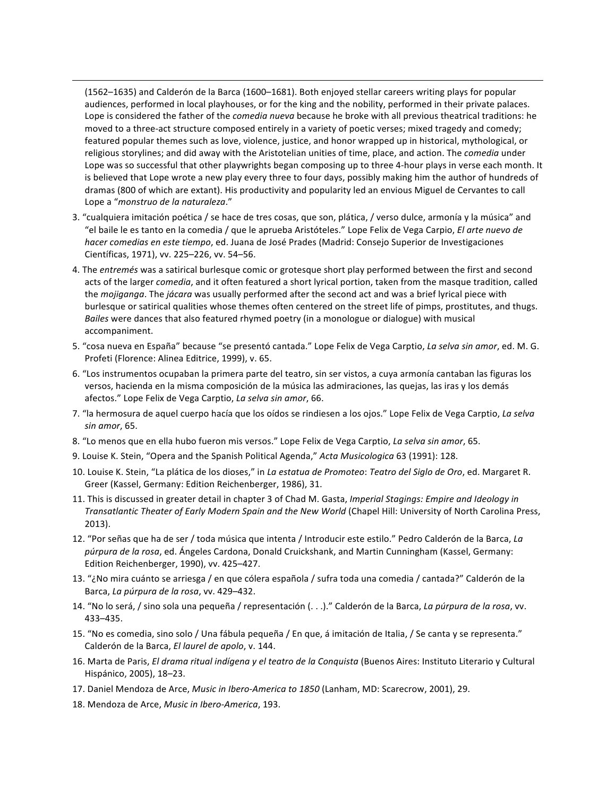(1562–1635) and Calderón de la Barca (1600–1681). Both enjoyed stellar careers writing plays for popular audiences, performed in local playhouses, or for the king and the nobility, performed in their private palaces. Lope is considered the father of the *comedia nueva* because he broke with all previous theatrical traditions: he moved to a three-act structure composed entirely in a variety of poetic verses; mixed tragedy and comedy; featured popular themes such as love, violence, justice, and honor wrapped up in historical, mythological, or religious storylines; and did away with the Aristotelian unities of time, place, and action. The *comedia* under Lope was so successful that other playwrights began composing up to three 4-hour plays in verse each month. It is believed that Lope wrote a new play every three to four days, possibly making him the author of hundreds of dramas (800 of which are extant). His productivity and popularity led an envious Miguel de Cervantes to call Lope a "*monstruo de la naturaleza*."

<u> 1989 - Andrea Santa Andrea Andrea Andrea Andrea Andrea Andrea Andrea Andrea Andrea Andrea Andrea Andrea Andr</u>

- 3. "cualquiera imitación poética / se hace de tres cosas, que son, plática, / verso dulce, armonía y la música" and "el baile le es tanto en la comedia / que le aprueba Aristóteles." Lope Felix de Vega Carpio, *El arte nuevo de hacer comedias en este tiempo*, ed. Juana de José Prades (Madrid: Consejo Superior de Investigaciones Científicas, 1971), vv. 225-226, vv. 54-56.
- 4. The *entremés* was a satirical burlesque comic or grotesque short play performed between the first and second acts of the larger *comedia*, and it often featured a short lyrical portion, taken from the masque tradition, called the *mojiganga*. The *jácara* was usually performed after the second act and was a brief lyrical piece with burlesque or satirical qualities whose themes often centered on the street life of pimps, prostitutes, and thugs. *Bailes* were dances that also featured rhymed poetry (in a monologue or dialogue) with musical accompaniment.
- 5. "cosa nueva en España" because "se presentó cantada." Lope Felix de Vega Carptio, La selva sin amor, ed. M. G. Profeti (Florence: Alinea Editrice, 1999), v. 65.
- 6. "Los instrumentos ocupaban la primera parte del teatro, sin ser vistos, a cuya armonía cantaban las figuras los versos, hacienda en la misma composición de la música las admiraciones, las quejas, las iras y los demás afectos." Lope Felix de Vega Carptio, La selva sin amor, 66.
- 7. "la hermosura de aquel cuerpo hacía que los oídos se rindiesen a los ojos." Lope Felix de Vega Carptio, La selva *sin amor*, 65.
- 8. "Lo menos que en ella hubo fueron mis versos." Lope Felix de Vega Carptio, La selva sin amor, 65.
- 9. Louise K. Stein, "Opera and the Spanish Political Agenda," *Acta Musicologica* 63 (1991): 128.
- 10. Louise K. Stein, "La plática de los dioses," in La estatua de Promoteo: Teatro del Siglo de Oro, ed. Margaret R. Greer (Kassel, Germany: Edition Reichenberger, 1986), 31.
- 11. This is discussed in greater detail in chapter 3 of Chad M. Gasta, *Imperial Stagings: Empire and Ideology in Transatlantic Theater of Early Modern Spain and the New World* (Chapel Hill: University of North Carolina Press, 2013).
- 12. "Por señas que ha de ser / toda música que intenta / Introducir este estilo." Pedro Calderón de la Barca, *La* púrpura de la rosa, ed. Ángeles Cardona, Donald Cruickshank, and Martin Cunningham (Kassel, Germany: Edition Reichenberger, 1990), vv. 425-427.
- 13. "¿No mira cuánto se arriesga / en que cólera española / sufra toda una comedia / cantada?" Calderón de la Barca, La púrpura de la rosa, vv. 429-432.
- 14. "No lo será, / sino sola una pequeña / representación (...)." Calderón de la Barca, La púrpura de la rosa, vv. 433–435.
- 15. "No es comedia, sino solo / Una fábula pequeña / En que, á imitación de Italia, / Se canta y se representa." Calderón de la Barca, *El laurel de apolo*, v. 144.
- 16. Marta de Paris, *El drama ritual indígena y el teatro de la Conquista* (Buenos Aires: Instituto Literario y Cultural Hispánico, 2005), 18-23.
- 17. Daniel Mendoza de Arce, *Music in Ibero-America to 1850* (Lanham, MD: Scarecrow, 2001), 29.
- 18. Mendoza de Arce, *Music in Ibero-America*, 193.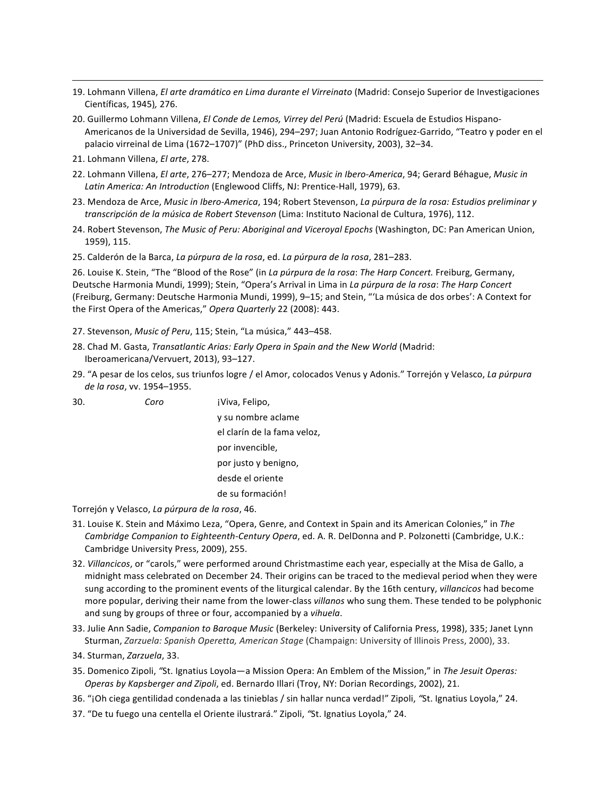- <u> 1989 Andrea Santa Andrea Andrea Andrea Andrea Andrea Andrea Andrea Andrea Andrea Andrea Andrea Andrea Andr</u> 19. Lohmann Villena, *El arte dramático en Lima durante el Virreinato* (Madrid: Consejo Superior de Investigaciones Científicas, 1945)*,* 276.
- 20. Guillermo Lohmann Villena, *El Conde de Lemos, Virrey del Perú* (Madrid: Escuela de Estudios Hispano-Americanos de la Universidad de Sevilla, 1946), 294–297; Juan Antonio Rodríguez-Garrido, "Teatro y poder en el palacio virreinal de Lima (1672–1707)" (PhD diss., Princeton University, 2003), 32–34.
- 21. Lohmann Villena, *El arte*, 278.
- 22. Lohmann Villena, *El arte*, 276–277; Mendoza de Arce, *Music in Ibero-America*, 94; Gerard Béhague, *Music in* Latin America: An Introduction (Englewood Cliffs, NJ: Prentice-Hall, 1979), 63.
- 23. Mendoza de Arce, *Music in Ibero-America*, 194; Robert Stevenson, *La púrpura de la rosa: Estudios preliminar y transcripción de la música de Robert Stevenson* (Lima: Instituto Nacional de Cultura, 1976), 112.
- 24. Robert Stevenson, *The Music of Peru: Aboriginal and Viceroyal Epochs* (Washington, DC: Pan American Union, 1959), 115.
- 25. Calderón de la Barca, *La púrpura de la rosa*, ed. *La púrpura de la rosa*, 281–283.

26. Louise K. Stein, "The "Blood of the Rose" (in *La púrpura de la rosa: The Harp Concert.* Freiburg, Germany, Deutsche Harmonia Mundi, 1999); Stein, "Opera's Arrival in Lima in La púrpura de la rosa: The Harp Concert (Freiburg, Germany: Deutsche Harmonia Mundi, 1999), 9-15; and Stein, "'La música de dos orbes': A Context for the First Opera of the Americas," Opera Quarterly 22 (2008): 443.

- 27. Stevenson, Music of Peru, 115; Stein, "La música," 443-458.
- 28. Chad M. Gasta, *Transatlantic Arias: Early Opera in Spain and the New World* (Madrid: Iberoamericana/Vervuert, 2013), 93-127.
- 29. "A pesar de los celos, sus triunfos logre / el Amor, colocados Venus y Adonis." Torrejón y Velasco, La púrpura *de la rosa*, vv. 1954–1955.

30. *Coro* iViva, Felipo, y su nombre aclame el clarín de la fama veloz, por invencible, por justo y benigno, desde el oriente de su formación!

Torrejón y Velasco, La púrpura de la rosa, 46.

- 31. Louise K. Stein and Máximo Leza, "Opera, Genre, and Context in Spain and its American Colonies," in The *Cambridge Companion to Eighteenth-Century Opera*, ed. A. R. DelDonna and P. Polzonetti (Cambridge, U.K.: Cambridge University Press, 2009), 255.
- 32. *Villancicos*, or "carols," were performed around Christmastime each year, especially at the Misa de Gallo, a midnight mass celebrated on December 24. Their origins can be traced to the medieval period when they were sung according to the prominent events of the liturgical calendar. By the 16th century, *villancicos* had become more popular, deriving their name from the lower-class *villanos* who sung them. These tended to be polyphonic and sung by groups of three or four, accompanied by a *vihuela*.
- 33. Julie Ann Sadie, *Companion to Baroque Music* (Berkeley: University of California Press, 1998), 335; Janet Lynn Sturman, *Zarzuela: Spanish Operetta, American Stage* (Champaign: University of Illinois Press, 2000), 33.
- 34. Sturman, *Zarzuela*, 33.
- 35. Domenico Zipoli, "St. Ignatius Loyola—a Mission Opera: An Emblem of the Mission," in The Jesuit Operas: *Operas by Kapsberger and Zipoli, ed. Bernardo Illari (Troy, NY: Dorian Recordings, 2002), 21.*
- 36. "¡Oh ciega gentilidad condenada a las tinieblas / sin hallar nunca verdad!" Zipoli, "St. Ignatius Loyola," 24.
- 37. "De tu fuego una centella el Oriente ilustrará." Zipoli, "St. Ignatius Loyola," 24.